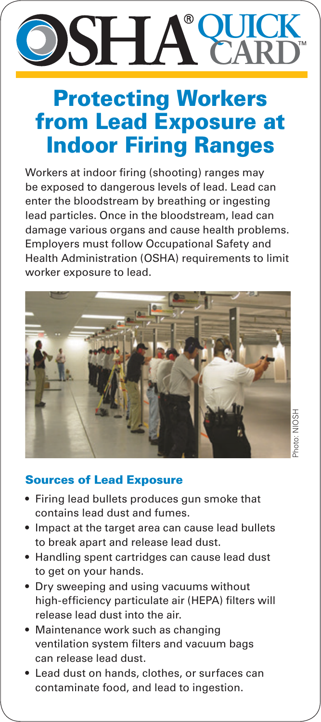# **QUICK CARD**

## Protecting Workers from Lead Exposure at Indoor Firing Ranges

Workers at indoor firing (shooting) ranges may be exposed to dangerous levels of lead. Lead can enter the bloodstream by breathing or ingesting lead particles. Once in the bloodstream, lead can damage various organs and cause health problems. Employers must follow Occupational Safety and Health Administration (OSHA) requirements to limit worker exposure to lead.



### Sources of Lead Exposure

- Firing lead bullets produces gun smoke that contains lead dust and fumes.
- Impact at the target area can cause lead bullets to break apart and release lead dust.
- Handling spent cartridges can cause lead dust to get on your hands.
- Dry sweeping and using vacuums without high-efficiency particulate air (HEPA) filters will release lead dust into the air.
- Maintenance work such as changing ventilation system filters and vacuum bags can release lead dust.
- Lead dust on hands, clothes, or surfaces can contaminate food, and lead to ingestion.